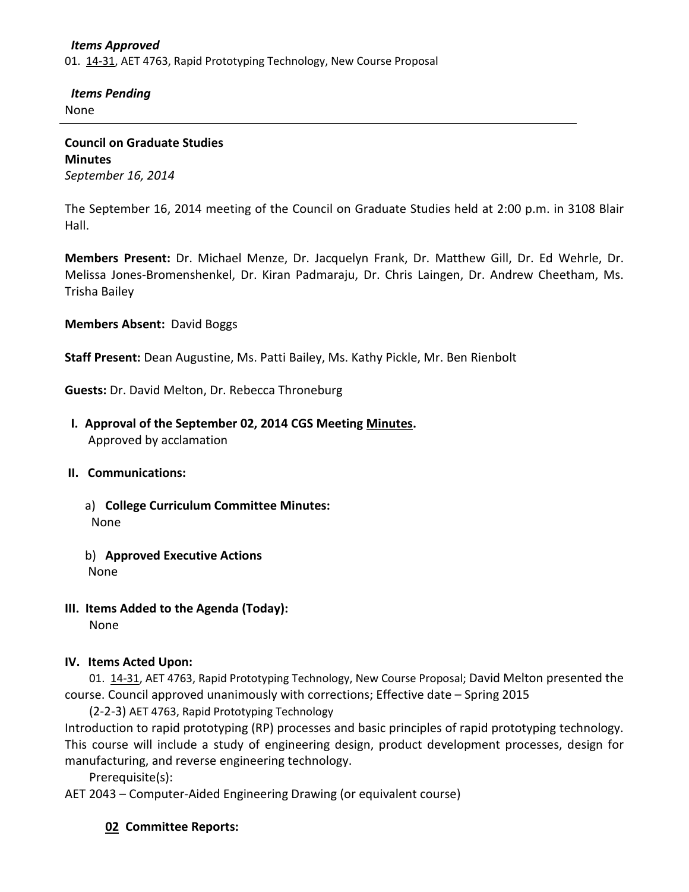#### *Items Approved*

01. [14-31,](http://castle.eiu.edu/~eiucgs/currentagendaitems/agenda14-31.pdf) AET 4763, Rapid Prototyping Technology, New Course Proposal

 *Items Pending* None

**Council on Graduate Studies Minutes** *September 16, 2014*

The September 16, 2014 meeting of the Council on Graduate Studies held at 2:00 p.m. in 3108 Blair Hall.

**Members Present:** Dr. Michael Menze, Dr. Jacquelyn Frank, Dr. Matthew Gill, Dr. Ed Wehrle, Dr. Melissa Jones-Bromenshenkel, Dr. Kiran Padmaraju, Dr. Chris Laingen, Dr. Andrew Cheetham, Ms. Trisha Bailey

**Members Absent:** David Boggs

**Staff Present:** Dean Augustine, Ms. Patti Bailey, Ms. Kathy Pickle, Mr. Ben Rienbolt

**Guests:** Dr. David Melton, Dr. Rebecca Throneburg

 **I. Approval of the September 02, 2014 CGS Meeting [Minutes.](http://castle.eiu.edu/eiucgs/currentminutes/Minutes09-02-14.pdf)** Approved by acclamation

### **II. Communications:**

- a) **College Curriculum Committee Minutes:** None
- b) **Approved Executive Actions** None
- **III. Items Added to the Agenda (Today):** None

### **IV. Items Acted Upon:**

01. [14-31,](http://castle.eiu.edu/~eiucgs/currentagendaitems/agenda14-31.pdf) AET 4763, Rapid Prototyping Technology, New Course Proposal; David Melton presented the course. Council approved unanimously with corrections; Effective date – Spring 2015

(2-2-3) AET 4763, Rapid Prototyping Technology Introduction to rapid prototyping (RP) processes and basic principles of rapid prototyping technology. This course will include a study of engineering design, product development processes, design for manufacturing, and reverse engineering technology.

Prerequisite(s):

AET 2043 – Computer-Aided Engineering Drawing (or equivalent course)

## **02 Committee Reports:**